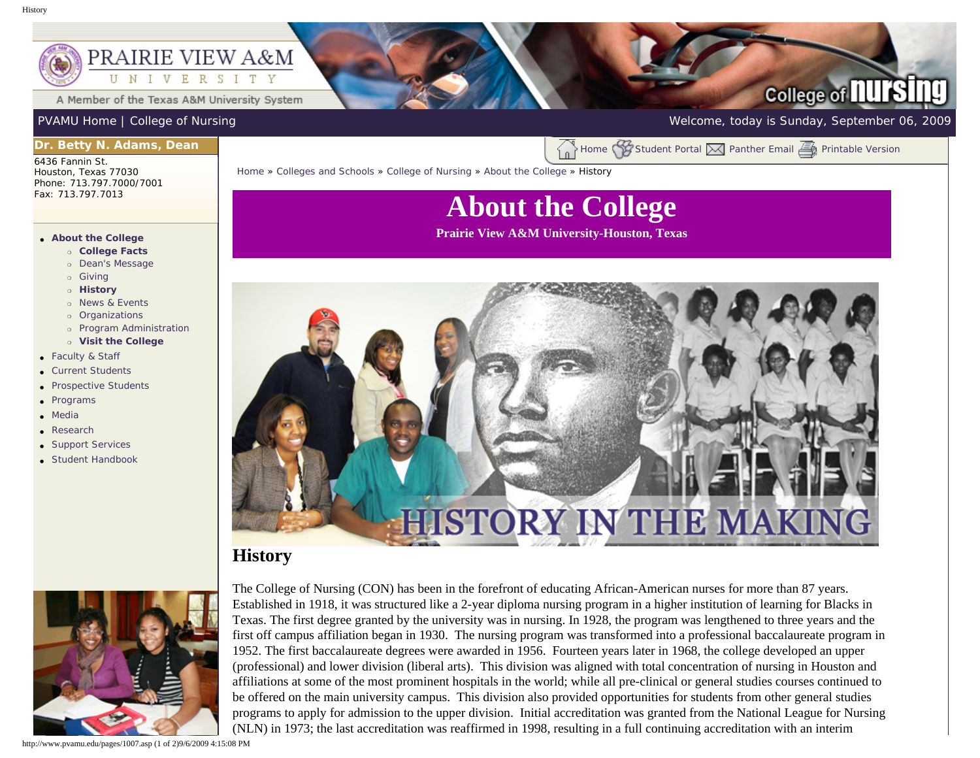#### <span id="page-0-0"></span>PRAIRIE VIEW A&M I V E R S I T Y N

A Member of the Texas A&M University System

## **College of nursi**

[PVAMU Home](http://www.pvamu.edu/pages/1.asp) | [College of Nursing](http://www.pvamu.edu/pages/290.asp) Welcome, today is Sunday, September 06, 2009

### **Dr. Betty N. Adams, Dean**

6436 Fannin St. Houston, Texas 77030 Phone: 713.797.7000/7001 Fax: 713.797.7013

#### ● **[About the College](http://www.pvamu.edu/pages/1001.asp)**

- ❍ **[College Facts](http://www.pvamu.edu/pages/1003.asp)**
- ❍ [Dean's Message](http://www.pvamu.edu/pages/4607.asp)
- ❍ [Giving](http://www.pvamu.edu/pages/1006.asp)
- ❍ **[History](#page-0-0)**
- o [News & Events](http://www.pvamu.edu/pages/1002.asp)
- ❍ [Organizations](http://www.pvamu.edu/pages/4611.asp)
- ❍ [Program Administration](http://www.pvamu.edu/pages/4610.asp)
- ❍ **[Visit the College](http://www.pvamu.edu/pages/1008.asp)**
- [Faculty & Staff](http://www.pvamu.edu/pages/789.asp)
- [Current Students](http://www.pvamu.edu/pages/1021.asp)
- [Prospective Students](http://www.pvamu.edu/pages/1029.asp)
- [Programs](http://www.pvamu.edu/pages/1011.asp)
- [Media](http://www.pvamu.edu/pages/4791.asp)
- [Research](http://www.pvamu.edu/pages/4612.asp)
- [Support Services](http://www.pvamu.edu/pages/4613.asp)
- [Student Handbook](http://www.pvamu.edu/pages/5989.asp)



[Home](http://www.pvamu.edu/pages/1.asp) » [Colleges and Schools](http://www.pvamu.edu/pages/128.asp) » [College of Nursing](http://www.pvamu.edu/pages/290.asp) » [About the College](http://www.pvamu.edu/pages/1001.asp) » History

# **About the College**

**Prairie View A&M University-Houston, Texas**



### **History**



The College of Nursing (CON) has been in the forefront of educating African-American nurses for more than 87 years. Established in 1918, it was structured like a 2-year diploma nursing program in a higher institution of learning for Blacks in Texas. The first degree granted by the university was in nursing. In 1928, the program was lengthened to three years and the first off campus affiliation began in 1930. The nursing program was transformed into a professional baccalaureate program in 1952. The first baccalaureate degrees were awarded in 1956. Fourteen years later in 1968, the college developed an upper (professional) and lower division (liberal arts). This division was aligned with total concentration of nursing in Houston and affiliations at some of the most prominent hospitals in the world; while all pre-clinical or general studies courses continued to be offered on the main university campus. This division also provided opportunities for students from other general studies programs to apply for admission to the upper division. Initial accreditation was granted from the National League for Nursing (NLN) in 1973; the last accreditation was reaffirmed in 1998, resulting in a full continuing accreditation with an interim